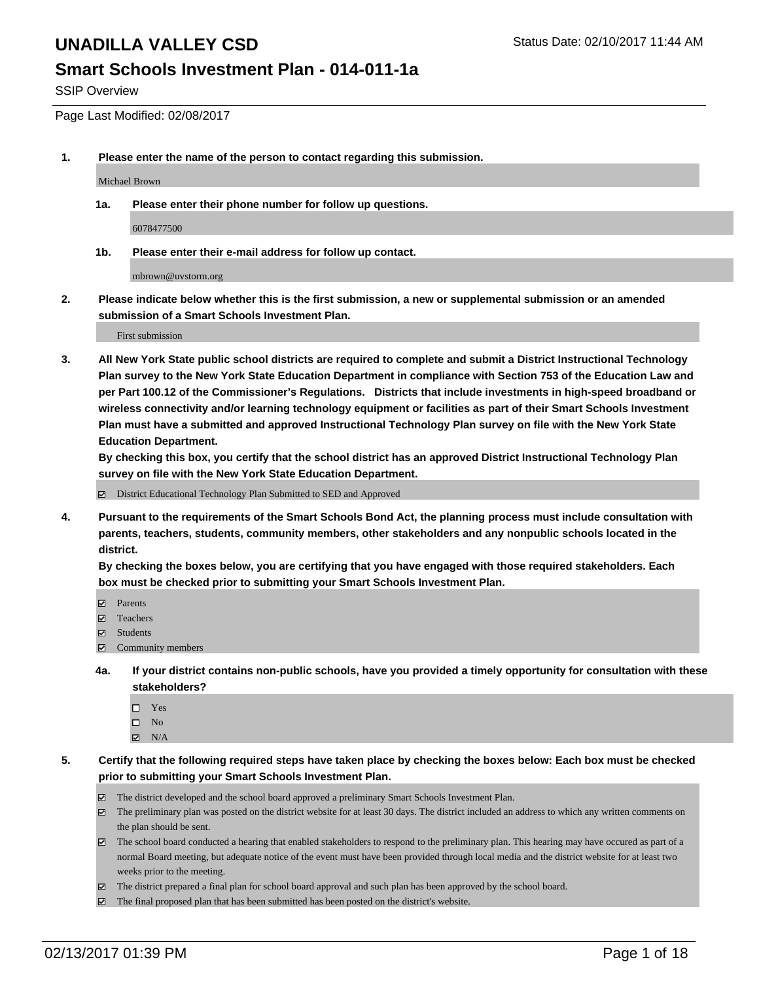### **Smart Schools Investment Plan - 014-011-1a**

SSIP Overview

Page Last Modified: 02/08/2017

**1. Please enter the name of the person to contact regarding this submission.**

Michael Brown

**1a. Please enter their phone number for follow up questions.**

6078477500

**1b. Please enter their e-mail address for follow up contact.**

mbrown@uvstorm.org

**2. Please indicate below whether this is the first submission, a new or supplemental submission or an amended submission of a Smart Schools Investment Plan.**

First submission

**3. All New York State public school districts are required to complete and submit a District Instructional Technology Plan survey to the New York State Education Department in compliance with Section 753 of the Education Law and per Part 100.12 of the Commissioner's Regulations. Districts that include investments in high-speed broadband or wireless connectivity and/or learning technology equipment or facilities as part of their Smart Schools Investment Plan must have a submitted and approved Instructional Technology Plan survey on file with the New York State Education Department.** 

**By checking this box, you certify that the school district has an approved District Instructional Technology Plan survey on file with the New York State Education Department.**

District Educational Technology Plan Submitted to SED and Approved

**4. Pursuant to the requirements of the Smart Schools Bond Act, the planning process must include consultation with parents, teachers, students, community members, other stakeholders and any nonpublic schools located in the district.** 

**By checking the boxes below, you are certifying that you have engaged with those required stakeholders. Each box must be checked prior to submitting your Smart Schools Investment Plan.**

- **Parents**
- Teachers
- **冈** Students
- Community members
- **4a. If your district contains non-public schools, have you provided a timely opportunity for consultation with these stakeholders?**
	- □ Yes
	- $\square$  No
	- $\boxtimes$  N/A
- **5. Certify that the following required steps have taken place by checking the boxes below: Each box must be checked prior to submitting your Smart Schools Investment Plan.**
	- The district developed and the school board approved a preliminary Smart Schools Investment Plan.
	- The preliminary plan was posted on the district website for at least 30 days. The district included an address to which any written comments on the plan should be sent.
	- The school board conducted a hearing that enabled stakeholders to respond to the preliminary plan. This hearing may have occured as part of a normal Board meeting, but adequate notice of the event must have been provided through local media and the district website for at least two weeks prior to the meeting.
	- The district prepared a final plan for school board approval and such plan has been approved by the school board.
	- $\boxtimes$  The final proposed plan that has been submitted has been posted on the district's website.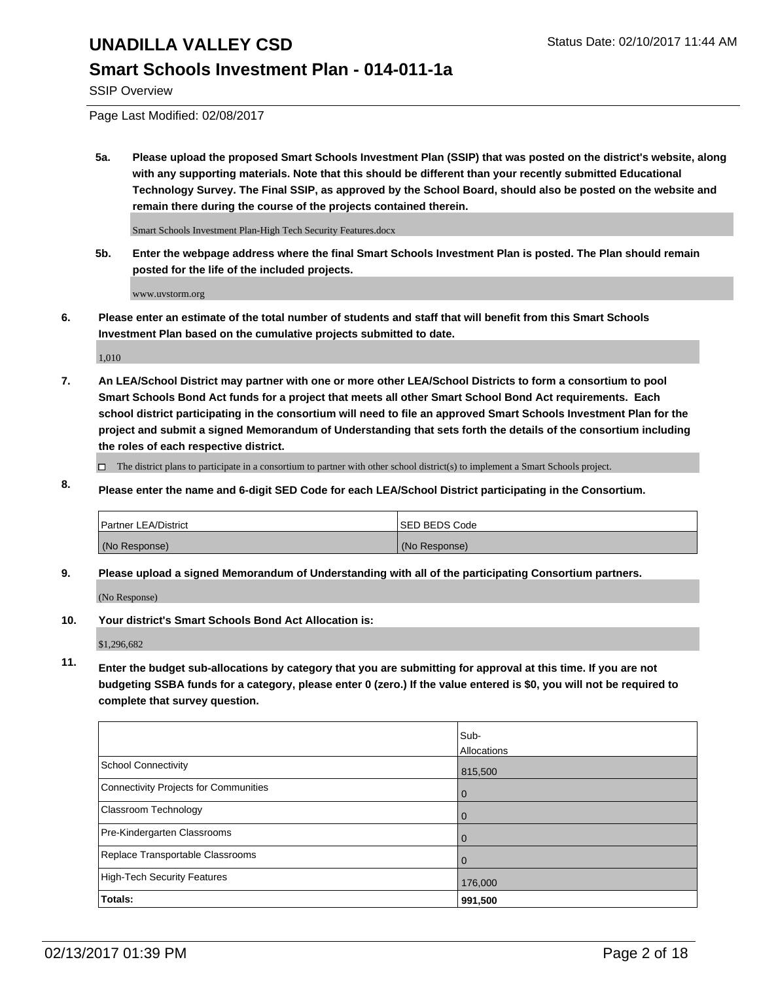### **Smart Schools Investment Plan - 014-011-1a**

SSIP Overview

Page Last Modified: 02/08/2017

**5a. Please upload the proposed Smart Schools Investment Plan (SSIP) that was posted on the district's website, along with any supporting materials. Note that this should be different than your recently submitted Educational Technology Survey. The Final SSIP, as approved by the School Board, should also be posted on the website and remain there during the course of the projects contained therein.**

Smart Schools Investment Plan-High Tech Security Features.docx

**5b. Enter the webpage address where the final Smart Schools Investment Plan is posted. The Plan should remain posted for the life of the included projects.**

www.uvstorm.org

**6. Please enter an estimate of the total number of students and staff that will benefit from this Smart Schools Investment Plan based on the cumulative projects submitted to date.**

1,010

- **7. An LEA/School District may partner with one or more other LEA/School Districts to form a consortium to pool Smart Schools Bond Act funds for a project that meets all other Smart School Bond Act requirements. Each school district participating in the consortium will need to file an approved Smart Schools Investment Plan for the project and submit a signed Memorandum of Understanding that sets forth the details of the consortium including the roles of each respective district.**
	- $\Box$  The district plans to participate in a consortium to partner with other school district(s) to implement a Smart Schools project.
- **8. Please enter the name and 6-digit SED Code for each LEA/School District participating in the Consortium.**

| <b>Partner LEA/District</b> | <b>ISED BEDS Code</b> |
|-----------------------------|-----------------------|
| (No Response)               | (No Response)         |

**9. Please upload a signed Memorandum of Understanding with all of the participating Consortium partners.**

(No Response)

**10. Your district's Smart Schools Bond Act Allocation is:**

\$1,296,682

**11. Enter the budget sub-allocations by category that you are submitting for approval at this time. If you are not budgeting SSBA funds for a category, please enter 0 (zero.) If the value entered is \$0, you will not be required to complete that survey question.**

|                                       | Sub-        |
|---------------------------------------|-------------|
|                                       | Allocations |
| <b>School Connectivity</b>            | 815,500     |
| Connectivity Projects for Communities | 0           |
| Classroom Technology                  |             |
| Pre-Kindergarten Classrooms           |             |
| Replace Transportable Classrooms      |             |
| High-Tech Security Features           | 176,000     |
| Totals:                               | 991,500     |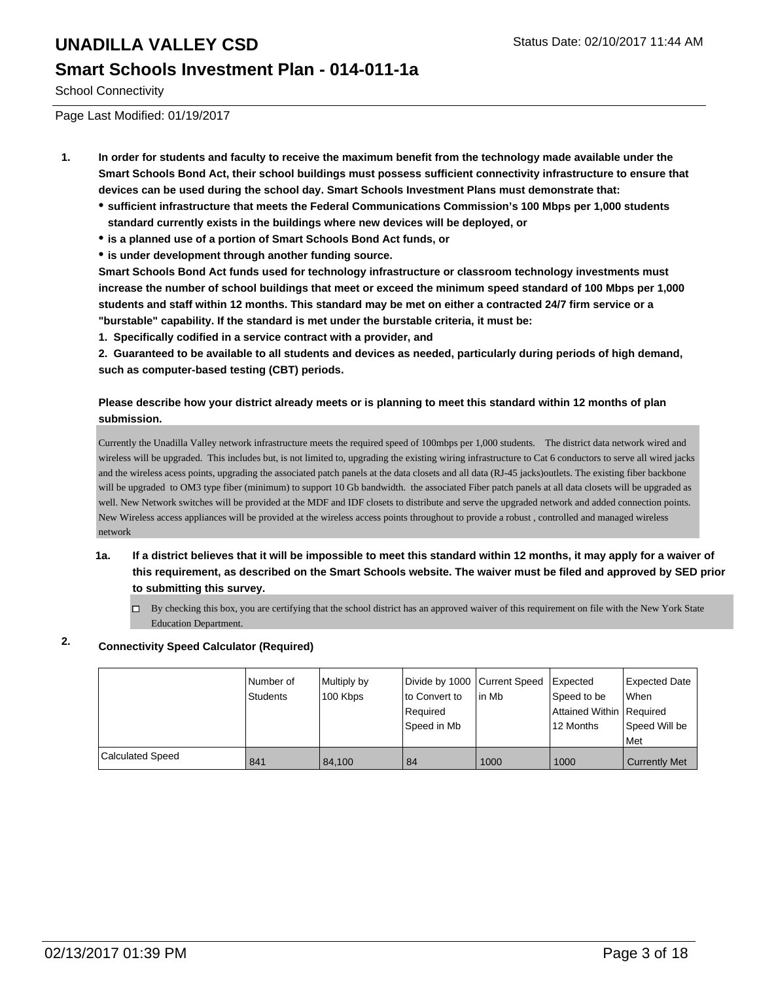### **Smart Schools Investment Plan - 014-011-1a**

School Connectivity

Page Last Modified: 01/19/2017

- **1. In order for students and faculty to receive the maximum benefit from the technology made available under the Smart Schools Bond Act, their school buildings must possess sufficient connectivity infrastructure to ensure that devices can be used during the school day. Smart Schools Investment Plans must demonstrate that:**
	- **sufficient infrastructure that meets the Federal Communications Commission's 100 Mbps per 1,000 students standard currently exists in the buildings where new devices will be deployed, or**
	- **is a planned use of a portion of Smart Schools Bond Act funds, or**
	- **is under development through another funding source.**

**Smart Schools Bond Act funds used for technology infrastructure or classroom technology investments must increase the number of school buildings that meet or exceed the minimum speed standard of 100 Mbps per 1,000 students and staff within 12 months. This standard may be met on either a contracted 24/7 firm service or a "burstable" capability. If the standard is met under the burstable criteria, it must be:**

**1. Specifically codified in a service contract with a provider, and**

**2. Guaranteed to be available to all students and devices as needed, particularly during periods of high demand, such as computer-based testing (CBT) periods.**

#### **Please describe how your district already meets or is planning to meet this standard within 12 months of plan submission.**

Currently the Unadilla Valley network infrastructure meets the required speed of 100mbps per 1,000 students. The district data network wired and wireless will be upgraded. This includes but, is not limited to, upgrading the existing wiring infrastructure to Cat 6 conductors to serve all wired jacks and the wireless acess points, upgrading the associated patch panels at the data closets and all data (RJ-45 jacks)outlets. The existing fiber backbone will be upgraded to OM3 type fiber (minimum) to support 10 Gb bandwidth. the associated Fiber patch panels at all data closets will be upgraded as well. New Network switches will be provided at the MDF and IDF closets to distribute and serve the upgraded network and added connection points. New Wireless access appliances will be provided at the wireless access points throughout to provide a robust , controlled and managed wireless network

- **1a. If a district believes that it will be impossible to meet this standard within 12 months, it may apply for a waiver of this requirement, as described on the Smart Schools website. The waiver must be filed and approved by SED prior to submitting this survey.**
	- □ By checking this box, you are certifying that the school district has an approved waiver of this requirement on file with the New York State Education Department.

### **2. Connectivity Speed Calculator (Required)**

|                         | l Number of<br>Students | Multiply by<br>100 Kbps | Divide by 1000 Current Speed<br>to Convert to<br>Required<br>Speed in Mb | lin Mb | <b>I</b> Expected<br>Speed to be<br>Attained Within   Required<br>12 Months | Expected Date<br><b>When</b><br>Speed Will be<br><b>Met</b> |
|-------------------------|-------------------------|-------------------------|--------------------------------------------------------------------------|--------|-----------------------------------------------------------------------------|-------------------------------------------------------------|
| <b>Calculated Speed</b> | 841                     | 84.100                  | 84                                                                       | 1000   | 1000                                                                        | <b>Currently Met</b>                                        |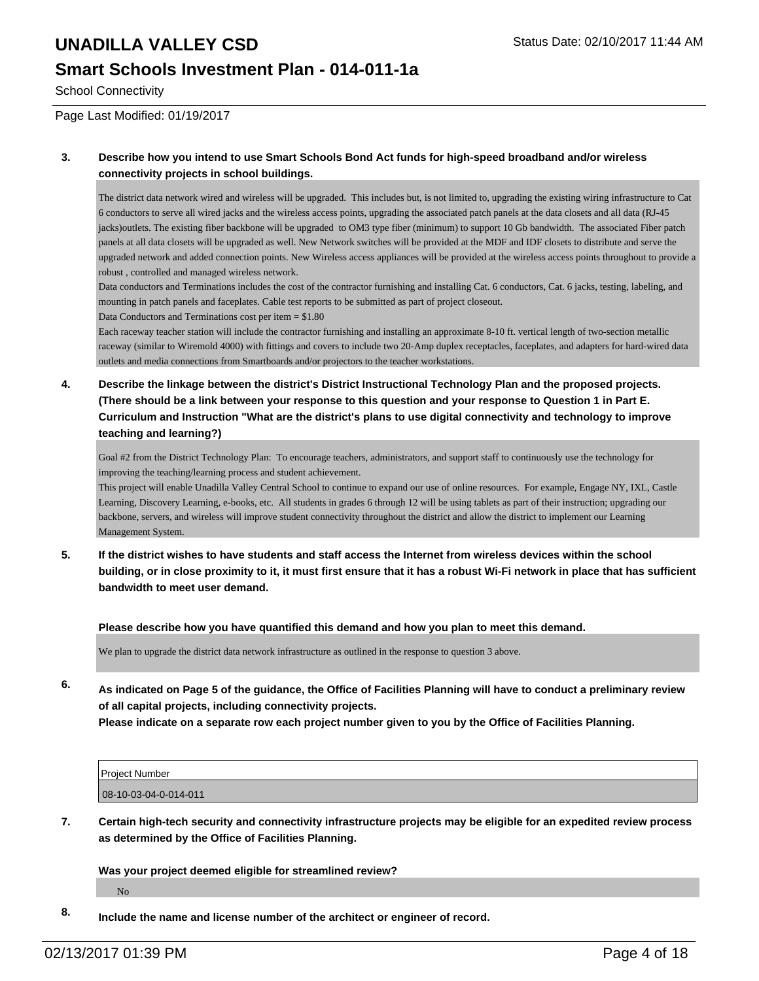### **Smart Schools Investment Plan - 014-011-1a**

School Connectivity

Page Last Modified: 01/19/2017

#### **3. Describe how you intend to use Smart Schools Bond Act funds for high-speed broadband and/or wireless connectivity projects in school buildings.**

The district data network wired and wireless will be upgraded. This includes but, is not limited to, upgrading the existing wiring infrastructure to Cat 6 conductors to serve all wired jacks and the wireless access points, upgrading the associated patch panels at the data closets and all data (RJ-45 jacks)outlets. The existing fiber backbone will be upgraded to OM3 type fiber (minimum) to support 10 Gb bandwidth. The associated Fiber patch panels at all data closets will be upgraded as well. New Network switches will be provided at the MDF and IDF closets to distribute and serve the upgraded network and added connection points. New Wireless access appliances will be provided at the wireless access points throughout to provide a robust , controlled and managed wireless network.

Data conductors and Terminations includes the cost of the contractor furnishing and installing Cat. 6 conductors, Cat. 6 jacks, testing, labeling, and mounting in patch panels and faceplates. Cable test reports to be submitted as part of project closeout.

Data Conductors and Terminations cost per item = \$1.80

Each raceway teacher station will include the contractor furnishing and installing an approximate 8-10 ft. vertical length of two-section metallic raceway (similar to Wiremold 4000) with fittings and covers to include two 20-Amp duplex receptacles, faceplates, and adapters for hard-wired data outlets and media connections from Smartboards and/or projectors to the teacher workstations.

**4. Describe the linkage between the district's District Instructional Technology Plan and the proposed projects. (There should be a link between your response to this question and your response to Question 1 in Part E. Curriculum and Instruction "What are the district's plans to use digital connectivity and technology to improve teaching and learning?)**

Goal #2 from the District Technology Plan: To encourage teachers, administrators, and support staff to continuously use the technology for improving the teaching/learning process and student achievement.

This project will enable Unadilla Valley Central School to continue to expand our use of online resources. For example, Engage NY, IXL, Castle Learning, Discovery Learning, e-books, etc. All students in grades 6 through 12 will be using tablets as part of their instruction; upgrading our backbone, servers, and wireless will improve student connectivity throughout the district and allow the district to implement our Learning Management System.

**5. If the district wishes to have students and staff access the Internet from wireless devices within the school building, or in close proximity to it, it must first ensure that it has a robust Wi-Fi network in place that has sufficient bandwidth to meet user demand.**

**Please describe how you have quantified this demand and how you plan to meet this demand.**

We plan to upgrade the district data network infrastructure as outlined in the response to question 3 above.

**6. As indicated on Page 5 of the guidance, the Office of Facilities Planning will have to conduct a preliminary review of all capital projects, including connectivity projects.**

**Please indicate on a separate row each project number given to you by the Office of Facilities Planning.**

| <b>Project Number</b> |  |
|-----------------------|--|
| 08-10-03-04-0-014-011 |  |

**7. Certain high-tech security and connectivity infrastructure projects may be eligible for an expedited review process as determined by the Office of Facilities Planning.**

**Was your project deemed eligible for streamlined review?**

No

**8. Include the name and license number of the architect or engineer of record.**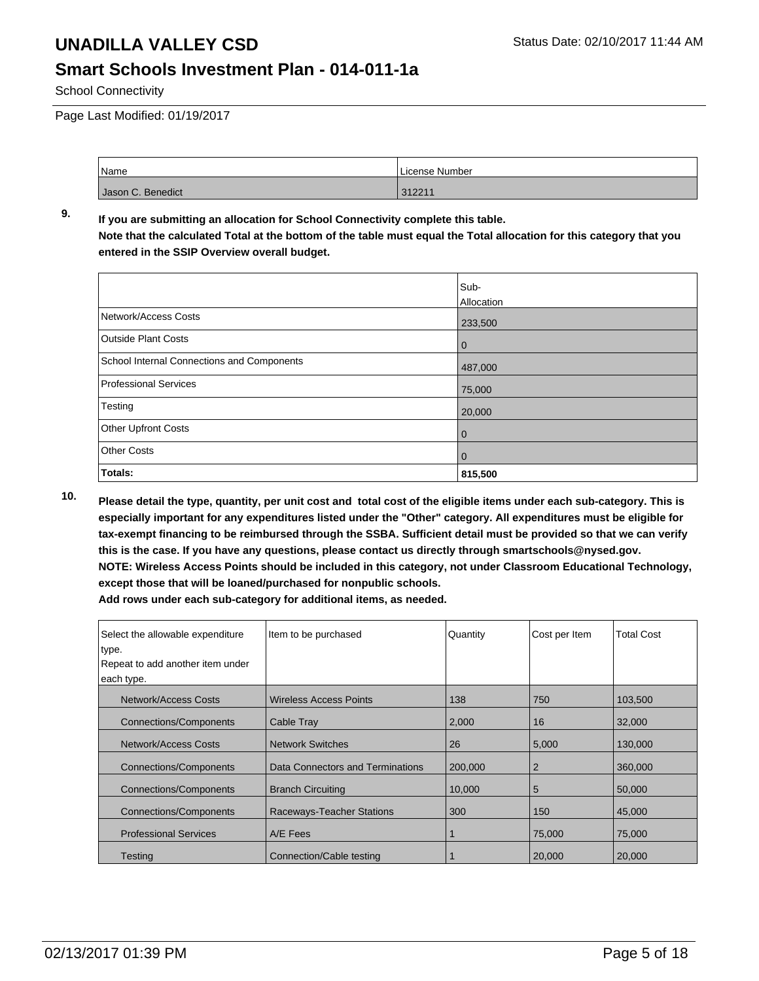#### **Smart Schools Investment Plan - 014-011-1a**

School Connectivity

Page Last Modified: 01/19/2017

| <i>Name</i>       | License Number |
|-------------------|----------------|
| Jason C. Benedict | 312211         |

#### **9. If you are submitting an allocation for School Connectivity complete this table. Note that the calculated Total at the bottom of the table must equal the Total allocation for this category that you entered in the SSIP Overview overall budget.**

|                                            | Sub-<br>Allocation |
|--------------------------------------------|--------------------|
| Network/Access Costs                       | 233,500            |
| <b>Outside Plant Costs</b>                 | $\bf{0}$           |
| School Internal Connections and Components | 487,000            |
| Professional Services                      | 75,000             |
| Testing                                    | 20,000             |
| <b>Other Upfront Costs</b>                 | 0                  |
| <b>Other Costs</b>                         | 0                  |
| Totals:                                    | 815,500            |

**10. Please detail the type, quantity, per unit cost and total cost of the eligible items under each sub-category. This is especially important for any expenditures listed under the "Other" category. All expenditures must be eligible for tax-exempt financing to be reimbursed through the SSBA. Sufficient detail must be provided so that we can verify this is the case. If you have any questions, please contact us directly through smartschools@nysed.gov. NOTE: Wireless Access Points should be included in this category, not under Classroom Educational Technology, except those that will be loaned/purchased for nonpublic schools.**

| Select the allowable expenditure<br>type.<br>Repeat to add another item under<br>each type. | Item to be purchased             | Quantity | Cost per Item  | <b>Total Cost</b> |
|---------------------------------------------------------------------------------------------|----------------------------------|----------|----------------|-------------------|
| Network/Access Costs                                                                        | <b>Wireless Access Points</b>    | 138      | 750            | 103,500           |
| <b>Connections/Components</b>                                                               | Cable Tray                       | 2,000    | 16             | 32,000            |
| Network/Access Costs                                                                        | <b>Network Switches</b>          | 26       | 5,000          | 130,000           |
| <b>Connections/Components</b>                                                               | Data Connectors and Terminations | 200,000  | $\overline{2}$ | 360,000           |
| Connections/Components                                                                      | <b>Branch Circuiting</b>         | 10,000   | 5              | 50,000            |
| <b>Connections/Components</b>                                                               | Raceways-Teacher Stations        | 300      | 150            | 45,000            |
| <b>Professional Services</b>                                                                | A/E Fees                         |          | 75,000         | 75,000            |
| <b>Testing</b>                                                                              | Connection/Cable testing         |          | 20,000         | 20,000            |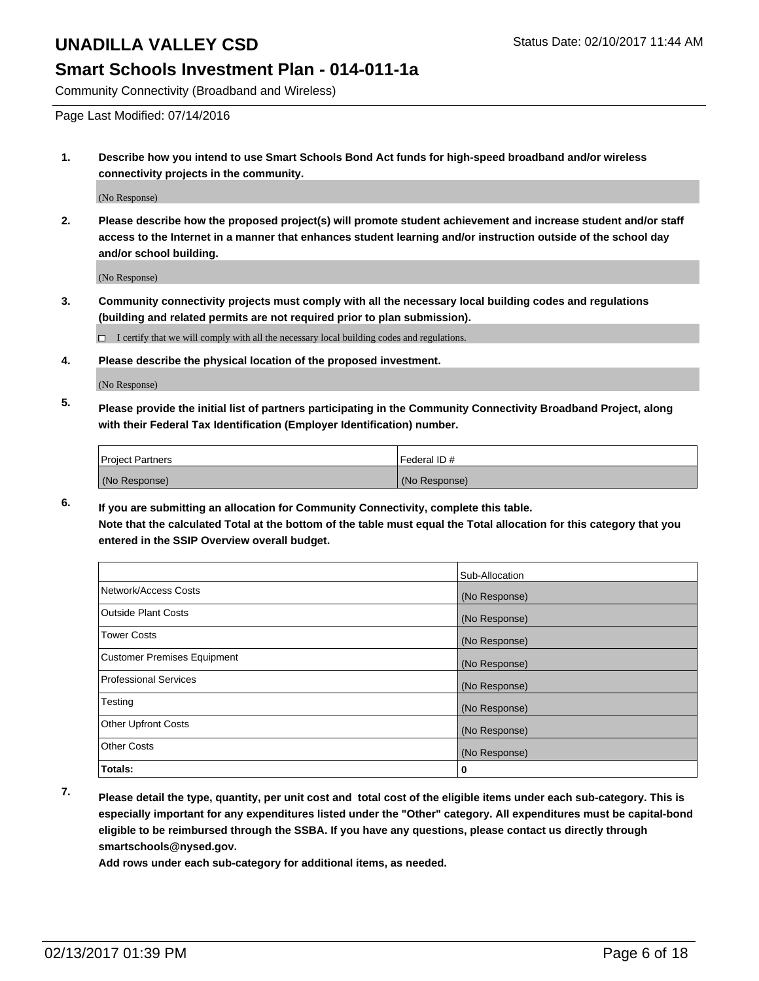### **Smart Schools Investment Plan - 014-011-1a**

Community Connectivity (Broadband and Wireless)

Page Last Modified: 07/14/2016

**1. Describe how you intend to use Smart Schools Bond Act funds for high-speed broadband and/or wireless connectivity projects in the community.**

(No Response)

**2. Please describe how the proposed project(s) will promote student achievement and increase student and/or staff access to the Internet in a manner that enhances student learning and/or instruction outside of the school day and/or school building.**

(No Response)

**3. Community connectivity projects must comply with all the necessary local building codes and regulations (building and related permits are not required prior to plan submission).**

 $\Box$  I certify that we will comply with all the necessary local building codes and regulations.

**4. Please describe the physical location of the proposed investment.**

(No Response)

**5. Please provide the initial list of partners participating in the Community Connectivity Broadband Project, along with their Federal Tax Identification (Employer Identification) number.**

| <b>Project Partners</b> | <b>IFederal ID#</b> |
|-------------------------|---------------------|
| (No Response)           | (No Response)       |

**6. If you are submitting an allocation for Community Connectivity, complete this table. Note that the calculated Total at the bottom of the table must equal the Total allocation for this category that you entered in the SSIP Overview overall budget.**

|                                    | Sub-Allocation |
|------------------------------------|----------------|
| Network/Access Costs               | (No Response)  |
| <b>Outside Plant Costs</b>         | (No Response)  |
| <b>Tower Costs</b>                 | (No Response)  |
| <b>Customer Premises Equipment</b> | (No Response)  |
| <b>Professional Services</b>       | (No Response)  |
| Testing                            | (No Response)  |
| <b>Other Upfront Costs</b>         | (No Response)  |
| <b>Other Costs</b>                 | (No Response)  |
| Totals:                            | 0              |

**7. Please detail the type, quantity, per unit cost and total cost of the eligible items under each sub-category. This is especially important for any expenditures listed under the "Other" category. All expenditures must be capital-bond eligible to be reimbursed through the SSBA. If you have any questions, please contact us directly through smartschools@nysed.gov.**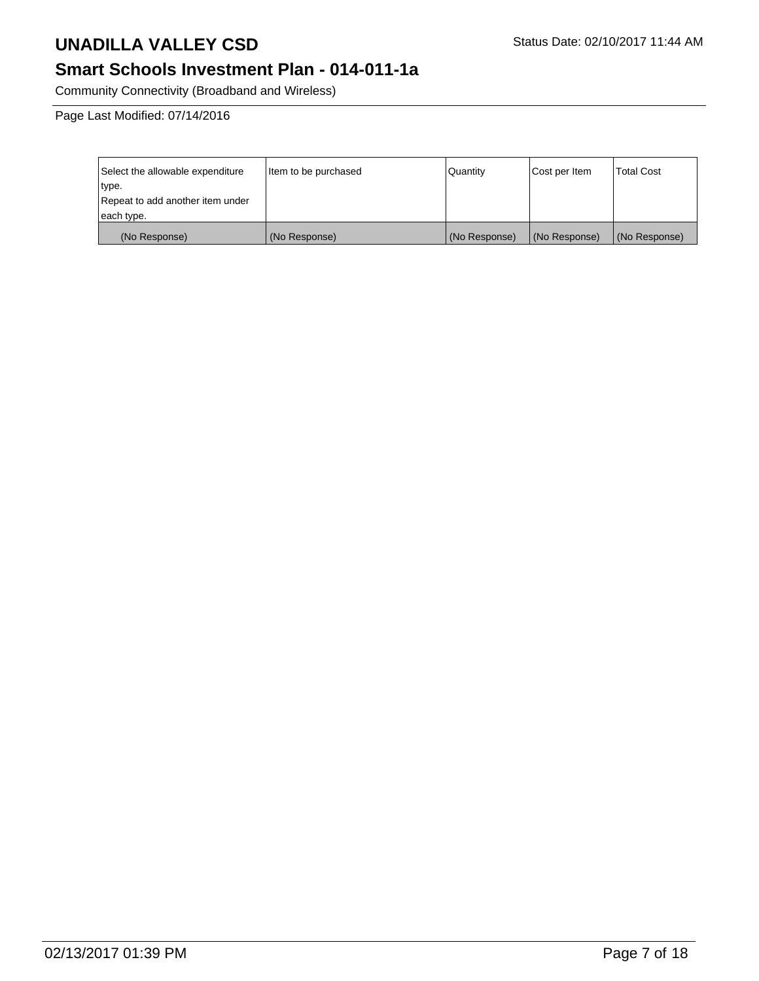## **Smart Schools Investment Plan - 014-011-1a**

Community Connectivity (Broadband and Wireless)

Page Last Modified: 07/14/2016

| Select the allowable expenditure | Item to be purchased | Quantity      | Cost per Item | Total Cost    |
|----------------------------------|----------------------|---------------|---------------|---------------|
| type.                            |                      |               |               |               |
| Repeat to add another item under |                      |               |               |               |
| each type.                       |                      |               |               |               |
| (No Response)                    | (No Response)        | (No Response) | (No Response) | (No Response) |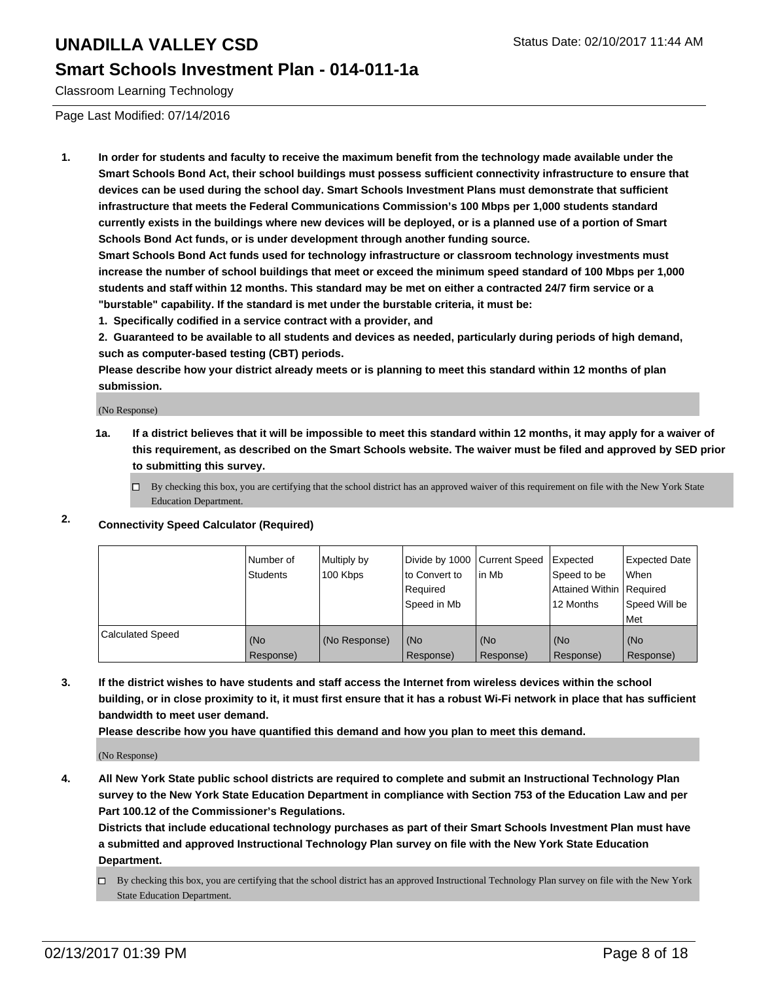#### **Smart Schools Investment Plan - 014-011-1a**

Classroom Learning Technology

Page Last Modified: 07/14/2016

**1. In order for students and faculty to receive the maximum benefit from the technology made available under the Smart Schools Bond Act, their school buildings must possess sufficient connectivity infrastructure to ensure that devices can be used during the school day. Smart Schools Investment Plans must demonstrate that sufficient infrastructure that meets the Federal Communications Commission's 100 Mbps per 1,000 students standard currently exists in the buildings where new devices will be deployed, or is a planned use of a portion of Smart Schools Bond Act funds, or is under development through another funding source.**

**Smart Schools Bond Act funds used for technology infrastructure or classroom technology investments must increase the number of school buildings that meet or exceed the minimum speed standard of 100 Mbps per 1,000 students and staff within 12 months. This standard may be met on either a contracted 24/7 firm service or a "burstable" capability. If the standard is met under the burstable criteria, it must be:**

**1. Specifically codified in a service contract with a provider, and**

**2. Guaranteed to be available to all students and devices as needed, particularly during periods of high demand, such as computer-based testing (CBT) periods.**

**Please describe how your district already meets or is planning to meet this standard within 12 months of plan submission.**

(No Response)

- **1a. If a district believes that it will be impossible to meet this standard within 12 months, it may apply for a waiver of this requirement, as described on the Smart Schools website. The waiver must be filed and approved by SED prior to submitting this survey.**
	- $\Box$  By checking this box, you are certifying that the school district has an approved waiver of this requirement on file with the New York State Education Department.
- **2. Connectivity Speed Calculator (Required)**

|                         | Number of<br>Students | Multiply by<br>100 Kbps | Divide by 1000 Current Speed<br>to Convert to<br>Reauired<br>Speed in Mb | lin Mb           | <b>Expected</b><br>Speed to be<br>Attained Within Required<br>12 Months | <b>Expected Date</b><br>l When<br>Speed Will be<br>l Met |
|-------------------------|-----------------------|-------------------------|--------------------------------------------------------------------------|------------------|-------------------------------------------------------------------------|----------------------------------------------------------|
| <b>Calculated Speed</b> | (No<br>Response)      | (No Response)           | (No<br>Response)                                                         | (No<br>Response) | (No<br>Response)                                                        | l (No<br>Response)                                       |

**3. If the district wishes to have students and staff access the Internet from wireless devices within the school building, or in close proximity to it, it must first ensure that it has a robust Wi-Fi network in place that has sufficient bandwidth to meet user demand.**

**Please describe how you have quantified this demand and how you plan to meet this demand.**

(No Response)

**4. All New York State public school districts are required to complete and submit an Instructional Technology Plan survey to the New York State Education Department in compliance with Section 753 of the Education Law and per Part 100.12 of the Commissioner's Regulations.**

**Districts that include educational technology purchases as part of their Smart Schools Investment Plan must have a submitted and approved Instructional Technology Plan survey on file with the New York State Education Department.**

By checking this box, you are certifying that the school district has an approved Instructional Technology Plan survey on file with the New York State Education Department.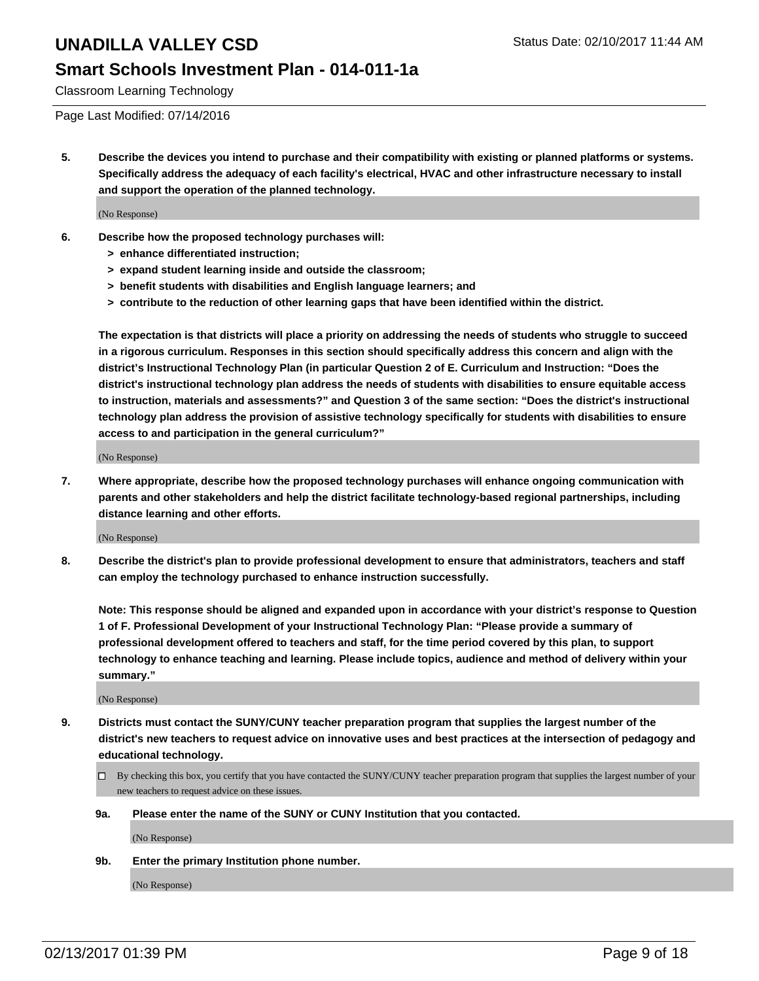### **Smart Schools Investment Plan - 014-011-1a**

Classroom Learning Technology

Page Last Modified: 07/14/2016

**5. Describe the devices you intend to purchase and their compatibility with existing or planned platforms or systems. Specifically address the adequacy of each facility's electrical, HVAC and other infrastructure necessary to install and support the operation of the planned technology.**

(No Response)

- **6. Describe how the proposed technology purchases will:**
	- **> enhance differentiated instruction;**
	- **> expand student learning inside and outside the classroom;**
	- **> benefit students with disabilities and English language learners; and**
	- **> contribute to the reduction of other learning gaps that have been identified within the district.**

**The expectation is that districts will place a priority on addressing the needs of students who struggle to succeed in a rigorous curriculum. Responses in this section should specifically address this concern and align with the district's Instructional Technology Plan (in particular Question 2 of E. Curriculum and Instruction: "Does the district's instructional technology plan address the needs of students with disabilities to ensure equitable access to instruction, materials and assessments?" and Question 3 of the same section: "Does the district's instructional technology plan address the provision of assistive technology specifically for students with disabilities to ensure access to and participation in the general curriculum?"**

(No Response)

**7. Where appropriate, describe how the proposed technology purchases will enhance ongoing communication with parents and other stakeholders and help the district facilitate technology-based regional partnerships, including distance learning and other efforts.**

(No Response)

**8. Describe the district's plan to provide professional development to ensure that administrators, teachers and staff can employ the technology purchased to enhance instruction successfully.**

**Note: This response should be aligned and expanded upon in accordance with your district's response to Question 1 of F. Professional Development of your Instructional Technology Plan: "Please provide a summary of professional development offered to teachers and staff, for the time period covered by this plan, to support technology to enhance teaching and learning. Please include topics, audience and method of delivery within your summary."**

(No Response)

- **9. Districts must contact the SUNY/CUNY teacher preparation program that supplies the largest number of the district's new teachers to request advice on innovative uses and best practices at the intersection of pedagogy and educational technology.**
	- By checking this box, you certify that you have contacted the SUNY/CUNY teacher preparation program that supplies the largest number of your new teachers to request advice on these issues.
	- **9a. Please enter the name of the SUNY or CUNY Institution that you contacted.**

(No Response)

**9b. Enter the primary Institution phone number.**

(No Response)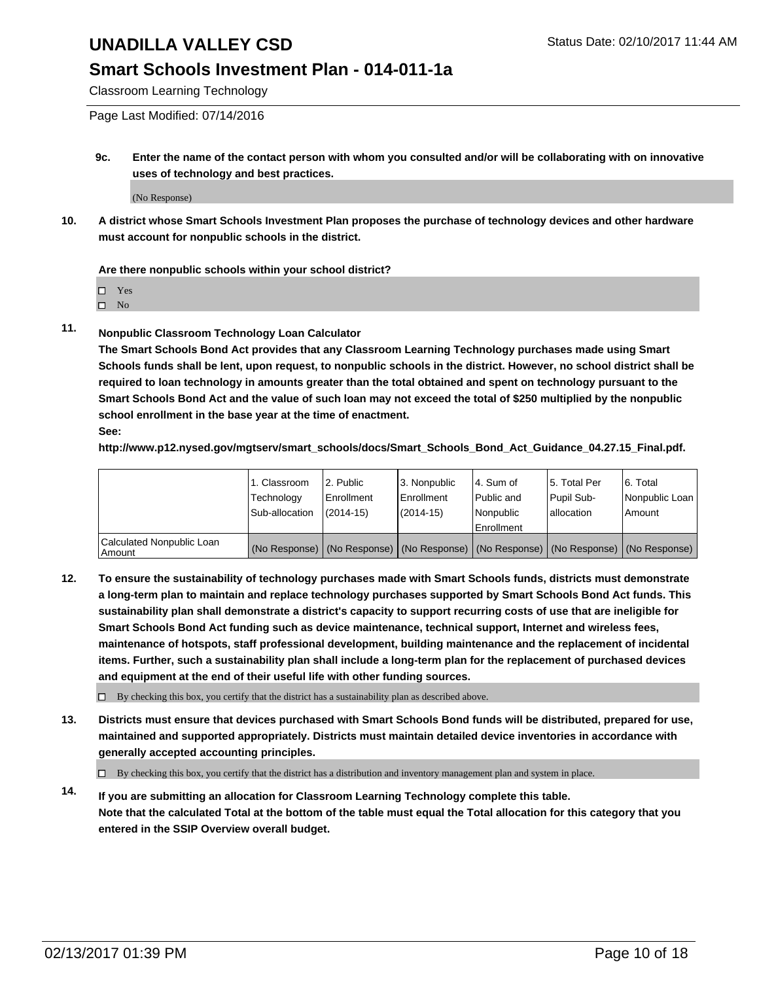### **Smart Schools Investment Plan - 014-011-1a**

Classroom Learning Technology

Page Last Modified: 07/14/2016

**9c. Enter the name of the contact person with whom you consulted and/or will be collaborating with on innovative uses of technology and best practices.**

(No Response)

**10. A district whose Smart Schools Investment Plan proposes the purchase of technology devices and other hardware must account for nonpublic schools in the district.**

**Are there nonpublic schools within your school district?**

 $\Pi$  Yes

 $\square$  No

**11. Nonpublic Classroom Technology Loan Calculator**

**The Smart Schools Bond Act provides that any Classroom Learning Technology purchases made using Smart Schools funds shall be lent, upon request, to nonpublic schools in the district. However, no school district shall be required to loan technology in amounts greater than the total obtained and spent on technology pursuant to the Smart Schools Bond Act and the value of such loan may not exceed the total of \$250 multiplied by the nonpublic school enrollment in the base year at the time of enactment. See:**

**http://www.p12.nysed.gov/mgtserv/smart\_schools/docs/Smart\_Schools\_Bond\_Act\_Guidance\_04.27.15\_Final.pdf.**

|                                         | 1. Classroom<br>Technology<br>Sub-allocation | 2. Public<br>Enrollment<br>$(2014 - 15)$ | 3. Nonpublic<br>Enrollment<br>$(2014-15)$                                                     | l 4. Sum of<br>l Public and<br>l Nonpublic<br>Enrollment | 5. Total Per<br>Pupil Sub-<br>lallocation | 6. Total<br>Nonpublic Loan<br>Amount |
|-----------------------------------------|----------------------------------------------|------------------------------------------|-----------------------------------------------------------------------------------------------|----------------------------------------------------------|-------------------------------------------|--------------------------------------|
| Calculated Nonpublic Loan<br>l Amount i |                                              |                                          | (No Response)   (No Response)   (No Response)   (No Response)   (No Response)   (No Response) |                                                          |                                           |                                      |

**12. To ensure the sustainability of technology purchases made with Smart Schools funds, districts must demonstrate a long-term plan to maintain and replace technology purchases supported by Smart Schools Bond Act funds. This sustainability plan shall demonstrate a district's capacity to support recurring costs of use that are ineligible for Smart Schools Bond Act funding such as device maintenance, technical support, Internet and wireless fees, maintenance of hotspots, staff professional development, building maintenance and the replacement of incidental items. Further, such a sustainability plan shall include a long-term plan for the replacement of purchased devices and equipment at the end of their useful life with other funding sources.**

 $\Box$  By checking this box, you certify that the district has a sustainability plan as described above.

**13. Districts must ensure that devices purchased with Smart Schools Bond funds will be distributed, prepared for use, maintained and supported appropriately. Districts must maintain detailed device inventories in accordance with generally accepted accounting principles.**

 $\Box$  By checking this box, you certify that the district has a distribution and inventory management plan and system in place.

**14. If you are submitting an allocation for Classroom Learning Technology complete this table. Note that the calculated Total at the bottom of the table must equal the Total allocation for this category that you entered in the SSIP Overview overall budget.**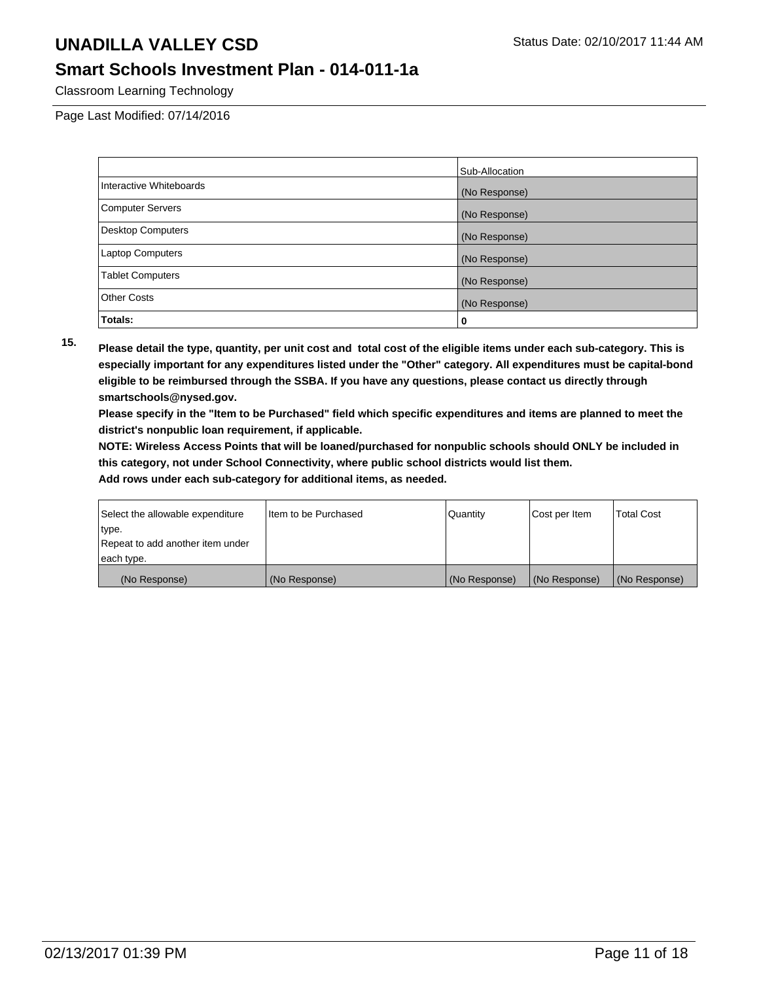### **Smart Schools Investment Plan - 014-011-1a**

Classroom Learning Technology

Page Last Modified: 07/14/2016

|                          | Sub-Allocation |
|--------------------------|----------------|
| Interactive Whiteboards  | (No Response)  |
| <b>Computer Servers</b>  | (No Response)  |
| <b>Desktop Computers</b> | (No Response)  |
| <b>Laptop Computers</b>  | (No Response)  |
| <b>Tablet Computers</b>  | (No Response)  |
| <b>Other Costs</b>       | (No Response)  |
| Totals:                  | 0              |

**15. Please detail the type, quantity, per unit cost and total cost of the eligible items under each sub-category. This is especially important for any expenditures listed under the "Other" category. All expenditures must be capital-bond eligible to be reimbursed through the SSBA. If you have any questions, please contact us directly through smartschools@nysed.gov.**

**Please specify in the "Item to be Purchased" field which specific expenditures and items are planned to meet the district's nonpublic loan requirement, if applicable.**

**NOTE: Wireless Access Points that will be loaned/purchased for nonpublic schools should ONLY be included in this category, not under School Connectivity, where public school districts would list them.**

| Select the allowable expenditure | I Item to be Purchased | Quantity        | Cost per Item | <b>Total Cost</b> |
|----------------------------------|------------------------|-----------------|---------------|-------------------|
| ∣type.                           |                        |                 |               |                   |
| Repeat to add another item under |                        |                 |               |                   |
| each type.                       |                        |                 |               |                   |
| (No Response)                    | (No Response)          | l (No Response) | (No Response) | (No Response)     |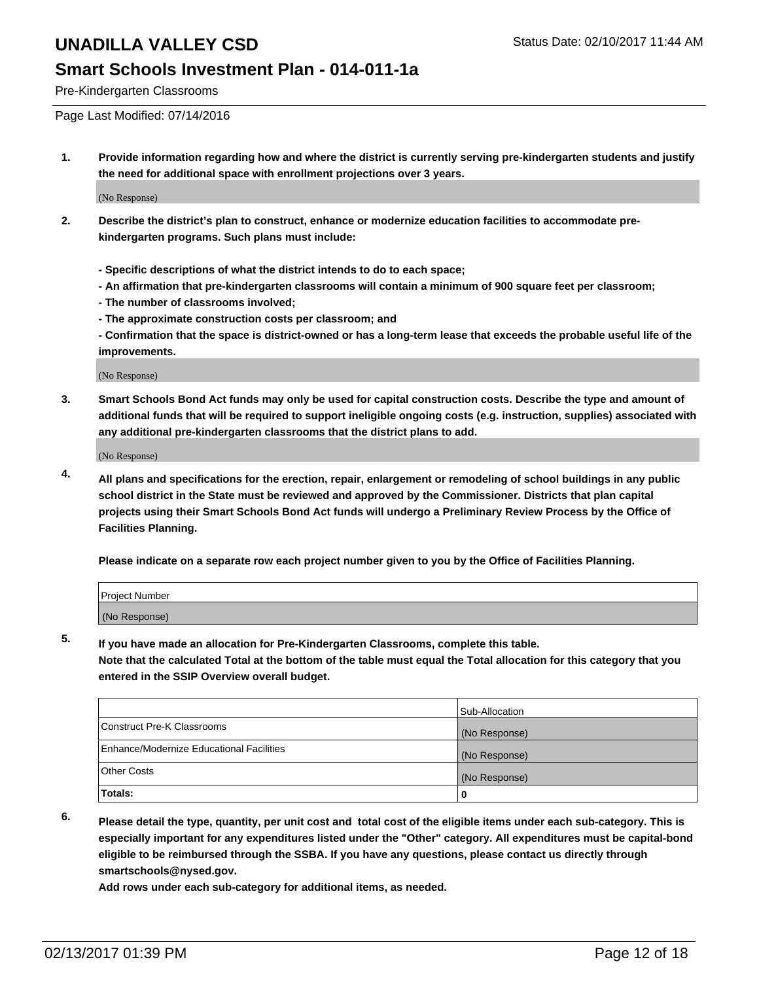### **Smart Schools Investment Plan - 014-011-1a**

Pre-Kindergarten Classrooms

Page Last Modified: 07/14/2016

**1. Provide information regarding how and where the district is currently serving pre-kindergarten students and justify the need for additional space with enrollment projections over 3 years.**

(No Response)

- **2. Describe the district's plan to construct, enhance or modernize education facilities to accommodate prekindergarten programs. Such plans must include:**
	- **Specific descriptions of what the district intends to do to each space;**
	- **An affirmation that pre-kindergarten classrooms will contain a minimum of 900 square feet per classroom;**
	- **The number of classrooms involved;**
	- **The approximate construction costs per classroom; and**
	- **Confirmation that the space is district-owned or has a long-term lease that exceeds the probable useful life of the improvements.**

(No Response)

**3. Smart Schools Bond Act funds may only be used for capital construction costs. Describe the type and amount of additional funds that will be required to support ineligible ongoing costs (e.g. instruction, supplies) associated with any additional pre-kindergarten classrooms that the district plans to add.**

(No Response)

**4. All plans and specifications for the erection, repair, enlargement or remodeling of school buildings in any public school district in the State must be reviewed and approved by the Commissioner. Districts that plan capital projects using their Smart Schools Bond Act funds will undergo a Preliminary Review Process by the Office of Facilities Planning.**

**Please indicate on a separate row each project number given to you by the Office of Facilities Planning.**

| Project Number |  |  |
|----------------|--|--|
| (No Response)  |  |  |

**5. If you have made an allocation for Pre-Kindergarten Classrooms, complete this table.**

**Note that the calculated Total at the bottom of the table must equal the Total allocation for this category that you entered in the SSIP Overview overall budget.**

|                                          | Sub-Allocation |
|------------------------------------------|----------------|
| Construct Pre-K Classrooms               | (No Response)  |
| Enhance/Modernize Educational Facilities | (No Response)  |
| <b>Other Costs</b>                       | (No Response)  |
| Totals:                                  |                |

**6. Please detail the type, quantity, per unit cost and total cost of the eligible items under each sub-category. This is especially important for any expenditures listed under the "Other" category. All expenditures must be capital-bond eligible to be reimbursed through the SSBA. If you have any questions, please contact us directly through smartschools@nysed.gov.**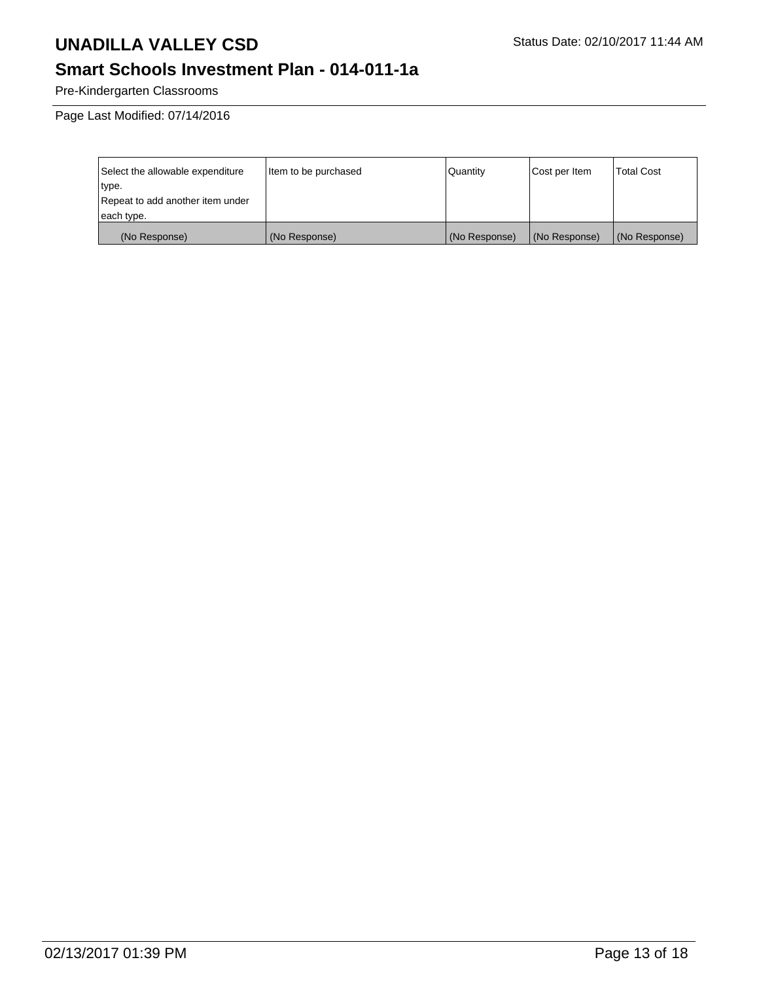## **Smart Schools Investment Plan - 014-011-1a**

Pre-Kindergarten Classrooms

Page Last Modified: 07/14/2016

| Select the allowable expenditure | Item to be purchased | l Quantitv    | Cost per Item | <b>Total Cost</b> |
|----------------------------------|----------------------|---------------|---------------|-------------------|
| type.                            |                      |               |               |                   |
| Repeat to add another item under |                      |               |               |                   |
| each type.                       |                      |               |               |                   |
| (No Response)                    | (No Response)        | (No Response) | (No Response) | (No Response)     |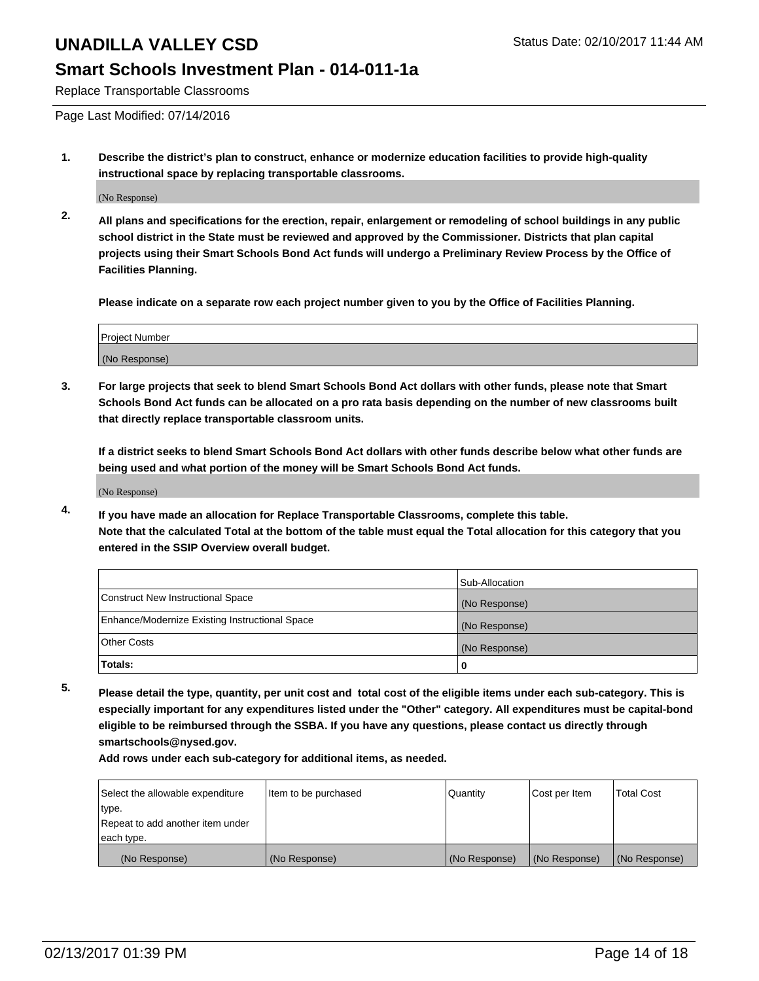### **Smart Schools Investment Plan - 014-011-1a**

Replace Transportable Classrooms

Page Last Modified: 07/14/2016

**1. Describe the district's plan to construct, enhance or modernize education facilities to provide high-quality instructional space by replacing transportable classrooms.**

(No Response)

**2. All plans and specifications for the erection, repair, enlargement or remodeling of school buildings in any public school district in the State must be reviewed and approved by the Commissioner. Districts that plan capital projects using their Smart Schools Bond Act funds will undergo a Preliminary Review Process by the Office of Facilities Planning.**

**Please indicate on a separate row each project number given to you by the Office of Facilities Planning.**

| <b>Project Number</b> |  |
|-----------------------|--|
| (No Response)         |  |

**3. For large projects that seek to blend Smart Schools Bond Act dollars with other funds, please note that Smart Schools Bond Act funds can be allocated on a pro rata basis depending on the number of new classrooms built that directly replace transportable classroom units.**

**If a district seeks to blend Smart Schools Bond Act dollars with other funds describe below what other funds are being used and what portion of the money will be Smart Schools Bond Act funds.**

(No Response)

**4. If you have made an allocation for Replace Transportable Classrooms, complete this table. Note that the calculated Total at the bottom of the table must equal the Total allocation for this category that you entered in the SSIP Overview overall budget.**

|                                                | Sub-Allocation |
|------------------------------------------------|----------------|
| Construct New Instructional Space              | (No Response)  |
| Enhance/Modernize Existing Instructional Space | (No Response)  |
| <b>Other Costs</b>                             | (No Response)  |
| Totals:                                        |                |

**5. Please detail the type, quantity, per unit cost and total cost of the eligible items under each sub-category. This is especially important for any expenditures listed under the "Other" category. All expenditures must be capital-bond eligible to be reimbursed through the SSBA. If you have any questions, please contact us directly through smartschools@nysed.gov.**

| Select the allowable expenditure | Item to be purchased | Quantity      | Cost per Item | <b>Total Cost</b> |
|----------------------------------|----------------------|---------------|---------------|-------------------|
| type.                            |                      |               |               |                   |
| Repeat to add another item under |                      |               |               |                   |
| each type.                       |                      |               |               |                   |
| (No Response)                    | (No Response)        | (No Response) | (No Response) | (No Response)     |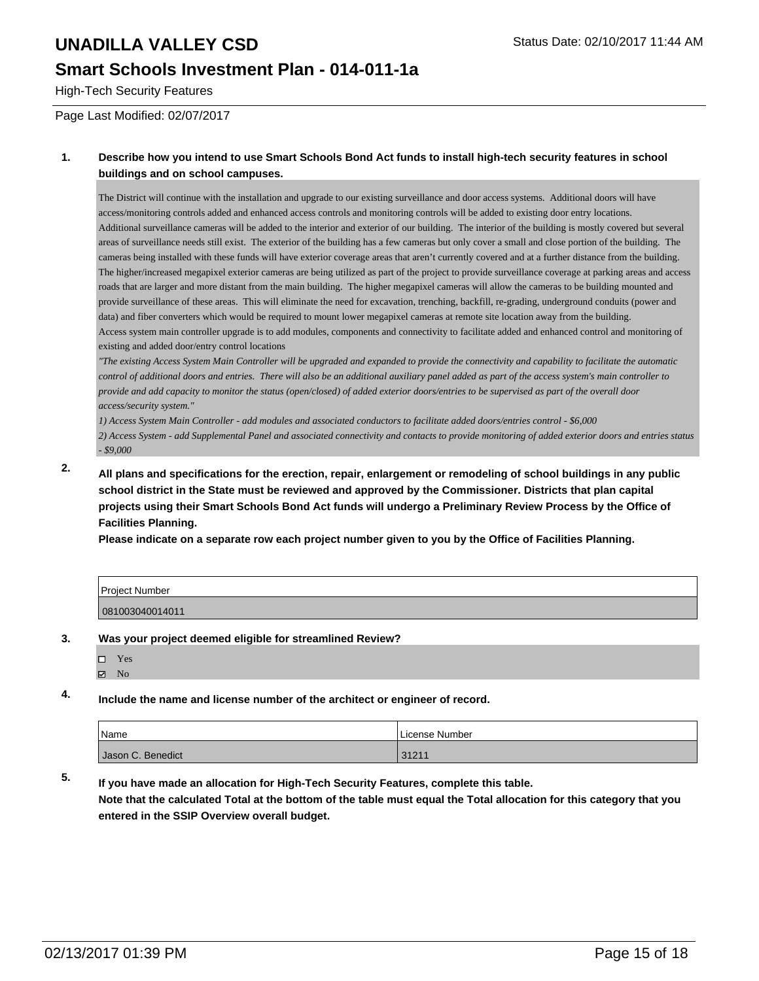### **Smart Schools Investment Plan - 014-011-1a**

High-Tech Security Features

Page Last Modified: 02/07/2017

#### **1. Describe how you intend to use Smart Schools Bond Act funds to install high-tech security features in school buildings and on school campuses.**

The District will continue with the installation and upgrade to our existing surveillance and door access systems. Additional doors will have access/monitoring controls added and enhanced access controls and monitoring controls will be added to existing door entry locations. Additional surveillance cameras will be added to the interior and exterior of our building. The interior of the building is mostly covered but several areas of surveillance needs still exist. The exterior of the building has a few cameras but only cover a small and close portion of the building. The cameras being installed with these funds will have exterior coverage areas that aren't currently covered and at a further distance from the building. The higher/increased megapixel exterior cameras are being utilized as part of the project to provide surveillance coverage at parking areas and access roads that are larger and more distant from the main building. The higher megapixel cameras will allow the cameras to be building mounted and provide surveillance of these areas. This will eliminate the need for excavation, trenching, backfill, re-grading, underground conduits (power and data) and fiber converters which would be required to mount lower megapixel cameras at remote site location away from the building. Access system main controller upgrade is to add modules, components and connectivity to facilitate added and enhanced control and monitoring of existing and added door/entry control locations

*"The existing Access System Main Controller will be upgraded and expanded to provide the connectivity and capability to facilitate the automatic control of additional doors and entries. There will also be an additional auxiliary panel added as part of the access system's main controller to provide and add capacity to monitor the status (open/closed) of added exterior doors/entries to be supervised as part of the overall door access/security system."*

*1) Access System Main Controller - add modules and associated conductors to facilitate added doors/entries control - \$6,000 2) Access System - add Supplemental Panel and associated connectivity and contacts to provide monitoring of added exterior doors and entries status - \$9,000*

**2. All plans and specifications for the erection, repair, enlargement or remodeling of school buildings in any public school district in the State must be reviewed and approved by the Commissioner. Districts that plan capital projects using their Smart Schools Bond Act funds will undergo a Preliminary Review Process by the Office of Facilities Planning.** 

**Please indicate on a separate row each project number given to you by the Office of Facilities Planning.**

| l Proiect Number |  |
|------------------|--|
| 081003040014011  |  |

#### **3. Was your project deemed eligible for streamlined Review?**

Yes

 $\boxtimes$  No

### **4. Include the name and license number of the architect or engineer of record.**

| Name              | License Number        |
|-------------------|-----------------------|
| Jason C. Benedict | 21211<br><u>JIZII</u> |

**5. If you have made an allocation for High-Tech Security Features, complete this table. Note that the calculated Total at the bottom of the table must equal the Total allocation for this category that you entered in the SSIP Overview overall budget.**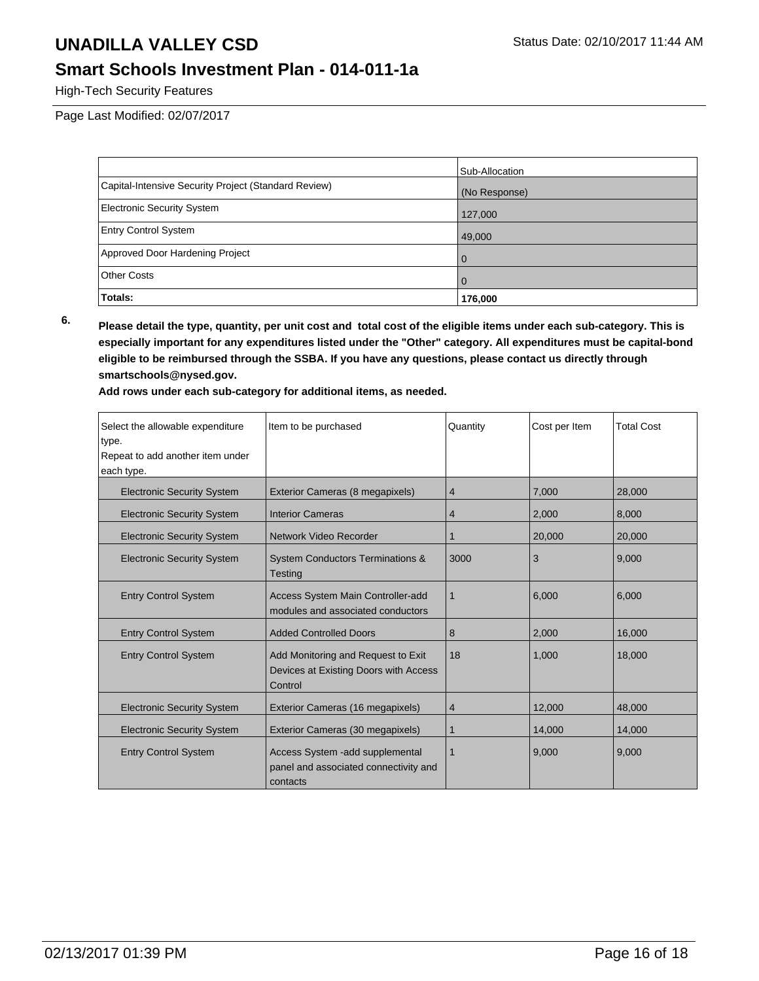# **Smart Schools Investment Plan - 014-011-1a**

High-Tech Security Features

Page Last Modified: 02/07/2017

|                                                      | Sub-Allocation |
|------------------------------------------------------|----------------|
| Capital-Intensive Security Project (Standard Review) | (No Response)  |
| <b>Electronic Security System</b>                    | 127,000        |
| <b>Entry Control System</b>                          | 49,000         |
| Approved Door Hardening Project                      | $\overline{0}$ |
| <b>Other Costs</b>                                   | $\overline{0}$ |
| Totals:                                              | 176,000        |

**6. Please detail the type, quantity, per unit cost and total cost of the eligible items under each sub-category. This is especially important for any expenditures listed under the "Other" category. All expenditures must be capital-bond eligible to be reimbursed through the SSBA. If you have any questions, please contact us directly through smartschools@nysed.gov.**

| Add rows under each sub-category for additional items, as needed. |  |
|-------------------------------------------------------------------|--|
|                                                                   |  |

| Select the allowable expenditure<br>type.<br>Repeat to add another item under<br>each type. | Item to be purchased                                                                   | Quantity       | Cost per Item | <b>Total Cost</b> |
|---------------------------------------------------------------------------------------------|----------------------------------------------------------------------------------------|----------------|---------------|-------------------|
| <b>Electronic Security System</b>                                                           | Exterior Cameras (8 megapixels)                                                        | 4              | 7,000         | 28,000            |
| <b>Electronic Security System</b>                                                           | <b>Interior Cameras</b>                                                                | $\overline{4}$ | 2,000         | 8,000             |
| <b>Electronic Security System</b>                                                           | Network Video Recorder                                                                 | 1              | 20,000        | 20,000            |
| <b>Electronic Security System</b>                                                           | <b>System Conductors Terminations &amp;</b><br>Testing                                 | 3000           | 3             | 9,000             |
| <b>Entry Control System</b>                                                                 | Access System Main Controller-add<br>modules and associated conductors                 | 1              | 6,000         | 6,000             |
| <b>Entry Control System</b>                                                                 | <b>Added Controlled Doors</b>                                                          | 8              | 2,000         | 16,000            |
| <b>Entry Control System</b>                                                                 | Add Monitoring and Request to Exit<br>Devices at Existing Doors with Access<br>Control | 18             | 1,000         | 18,000            |
| <b>Electronic Security System</b>                                                           | Exterior Cameras (16 megapixels)                                                       | $\overline{4}$ | 12,000        | 48,000            |
| <b>Electronic Security System</b>                                                           | Exterior Cameras (30 megapixels)                                                       | 1              | 14,000        | 14,000            |
| <b>Entry Control System</b>                                                                 | Access System - add supplemental<br>panel and associated connectivity and<br>contacts  | 1              | 9,000         | 9,000             |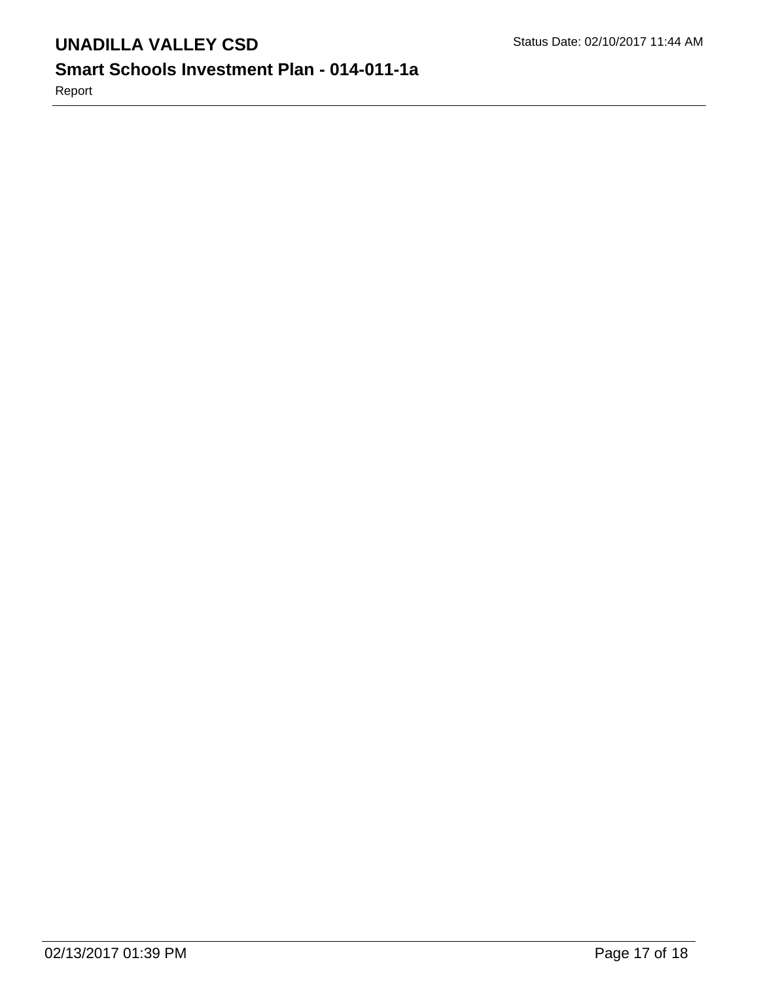# **Smart Schools Investment Plan - 014-011-1a**

Report